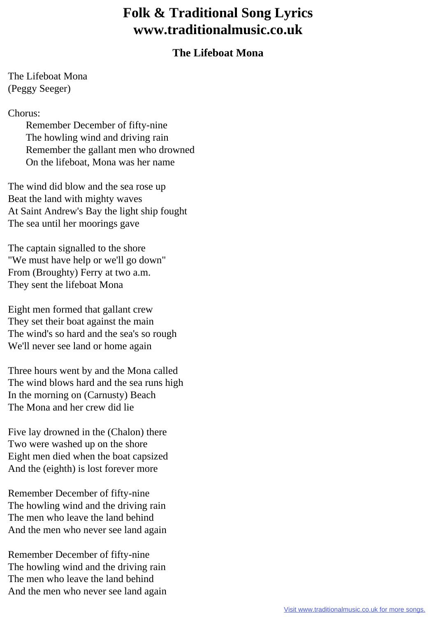## **Folk & Traditional Song Lyrics www.traditionalmusic.co.uk**

## **The Lifeboat Mona**

The Lifeboat Mona (Peggy Seeger)

## Chorus:

 Remember December of fifty-nine The howling wind and driving rain Remember the gallant men who drowned On the lifeboat, Mona was her name

The wind did blow and the sea rose up Beat the land with mighty waves At Saint Andrew's Bay the light ship fought The sea until her moorings gave

The captain signalled to the shore "We must have help or we'll go down" From (Broughty) Ferry at two a.m. They sent the lifeboat Mona

Eight men formed that gallant crew They set their boat against the main The wind's so hard and the sea's so rough We'll never see land or home again

Three hours went by and the Mona called The wind blows hard and the sea runs high In the morning on (Carnusty) Beach The Mona and her crew did lie

Five lay drowned in the (Chalon) there Two were washed up on the shore Eight men died when the boat capsized And the (eighth) is lost forever more

Remember December of fifty-nine The howling wind and the driving rain The men who leave the land behind And the men who never see land again

Remember December of fifty-nine The howling wind and the driving rain The men who leave the land behind And the men who never see land again